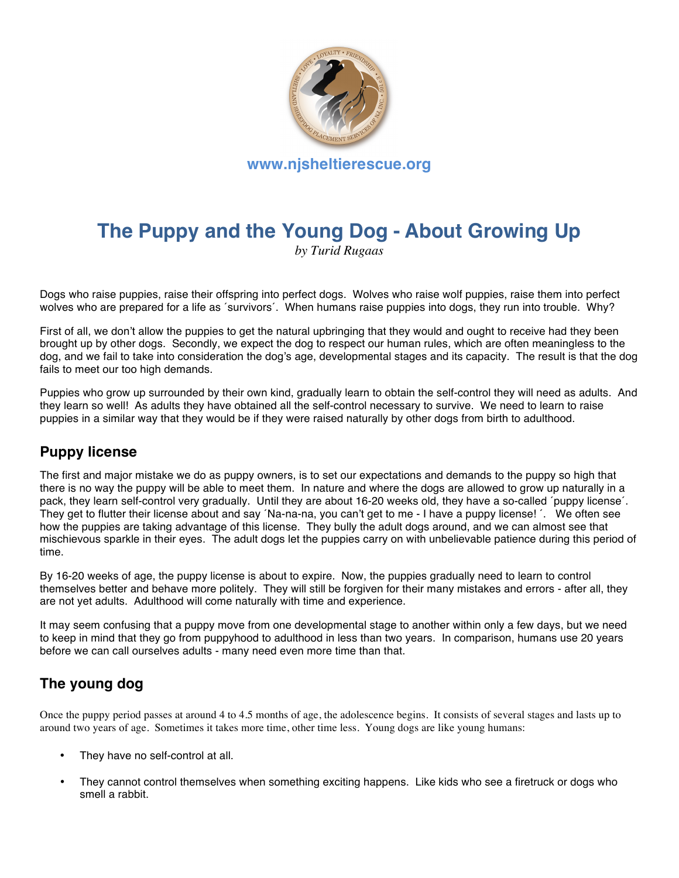

# **The Puppy and the Young Dog - About Growing Up**

*by Turid Rugaas*

Dogs who raise puppies, raise their offspring into perfect dogs. Wolves who raise wolf puppies, raise them into perfect wolves who are prepared for a life as ´survivors´. When humans raise puppies into dogs, they run into trouble. Why?

First of all, we don't allow the puppies to get the natural upbringing that they would and ought to receive had they been brought up by other dogs. Secondly, we expect the dog to respect our human rules, which are often meaningless to the dog, and we fail to take into consideration the dog's age, developmental stages and its capacity. The result is that the dog fails to meet our too high demands.

Puppies who grow up surrounded by their own kind, gradually learn to obtain the self-control they will need as adults. And they learn so well! As adults they have obtained all the self-control necessary to survive. We need to learn to raise puppies in a similar way that they would be if they were raised naturally by other dogs from birth to adulthood.

## **Puppy license**

The first and major mistake we do as puppy owners, is to set our expectations and demands to the puppy so high that there is no way the puppy will be able to meet them. In nature and where the dogs are allowed to grow up naturally in a pack, they learn self-control very gradually. Until they are about 16-20 weeks old, they have a so-called ´puppy license´. They get to flutter their license about and say ´Na-na-na, you can't get to me - I have a puppy license! ´. We often see how the puppies are taking advantage of this license. They bully the adult dogs around, and we can almost see that mischievous sparkle in their eyes. The adult dogs let the puppies carry on with unbelievable patience during this period of time.

By 16-20 weeks of age, the puppy license is about to expire. Now, the puppies gradually need to learn to control themselves better and behave more politely. They will still be forgiven for their many mistakes and errors - after all, they are not yet adults. Adulthood will come naturally with time and experience.

It may seem confusing that a puppy move from one developmental stage to another within only a few days, but we need to keep in mind that they go from puppyhood to adulthood in less than two years. In comparison, humans use 20 years before we can call ourselves adults - many need even more time than that.

## **The young dog**

Once the puppy period passes at around 4 to 4.5 months of age, the adolescence begins. It consists of several stages and lasts up to around two years of age. Sometimes it takes more time, other time less. Young dogs are like young humans:

- They have no self-control at all.
- They cannot control themselves when something exciting happens. Like kids who see a firetruck or dogs who smell a rabbit.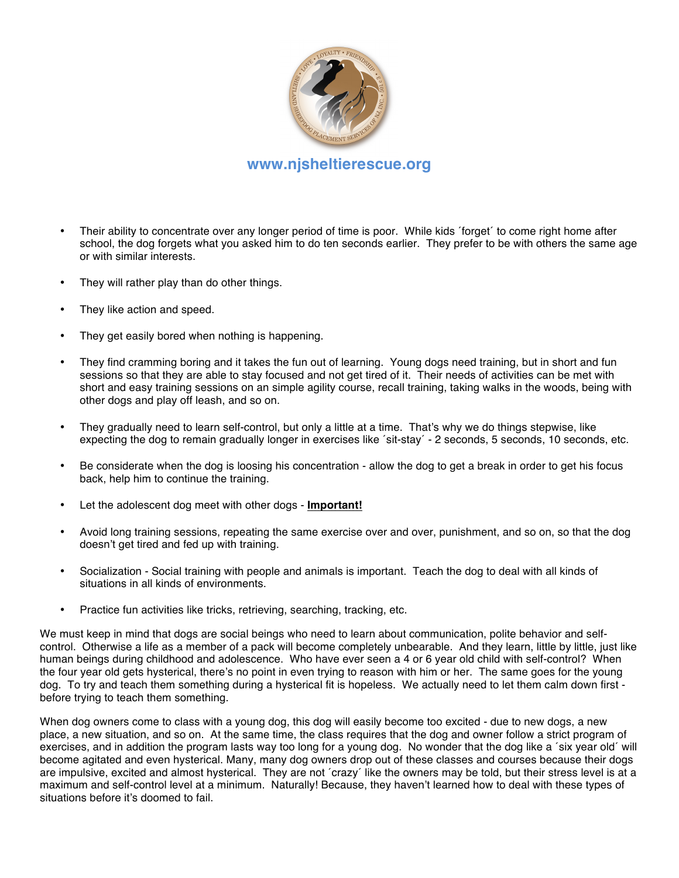

#### **www.njsheltierescue.org**

- Their ability to concentrate over any longer period of time is poor. While kids 'forget' to come right home after school, the dog forgets what you asked him to do ten seconds earlier. They prefer to be with others the same age or with similar interests.
- They will rather play than do other things.
- They like action and speed.
- They get easily bored when nothing is happening.
- They find cramming boring and it takes the fun out of learning. Young dogs need training, but in short and fun sessions so that they are able to stay focused and not get tired of it. Their needs of activities can be met with short and easy training sessions on an simple agility course, recall training, taking walks in the woods, being with other dogs and play off leash, and so on.
- They gradually need to learn self-control, but only a little at a time. That's why we do things stepwise, like expecting the dog to remain gradually longer in exercises like ´sit-stay´ - 2 seconds, 5 seconds, 10 seconds, etc.
- Be considerate when the dog is loosing his concentration allow the dog to get a break in order to get his focus back, help him to continue the training.
- Let the adolescent dog meet with other dogs **Important!**
- Avoid long training sessions, repeating the same exercise over and over, punishment, and so on, so that the dog doesn't get tired and fed up with training.
- Socialization Social training with people and animals is important. Teach the dog to deal with all kinds of situations in all kinds of environments.
- Practice fun activities like tricks, retrieving, searching, tracking, etc.

We must keep in mind that dogs are social beings who need to learn about communication, polite behavior and selfcontrol. Otherwise a life as a member of a pack will become completely unbearable. And they learn, little by little, just like human beings during childhood and adolescence. Who have ever seen a 4 or 6 year old child with self-control? When the four year old gets hysterical, there's no point in even trying to reason with him or her. The same goes for the young dog. To try and teach them something during a hysterical fit is hopeless. We actually need to let them calm down first before trying to teach them something.

When dog owners come to class with a young dog, this dog will easily become too excited - due to new dogs, a new place, a new situation, and so on. At the same time, the class requires that the dog and owner follow a strict program of exercises, and in addition the program lasts way too long for a young dog. No wonder that the dog like a ´six year old´ will become agitated and even hysterical. Many, many dog owners drop out of these classes and courses because their dogs are impulsive, excited and almost hysterical. They are not ´crazy´ like the owners may be told, but their stress level is at a maximum and self-control level at a minimum. Naturally! Because, they haven't learned how to deal with these types of situations before it's doomed to fail.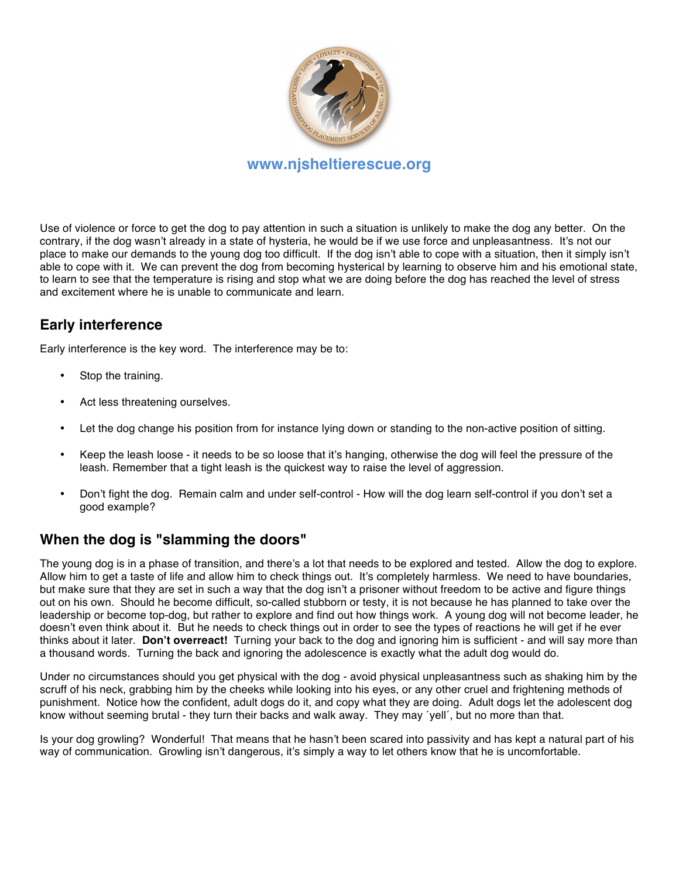

Use of violence or force to get the dog to pay attention in such a situation is unlikely to make the dog any better. On the contrary, if the dog wasn't already in a state of hysteria, he would be if we use force and unpleasantness. It's not our place to make our demands to the young dog too difficult. If the dog isn't able to cope with a situation, then it simply isn't able to cope with it. We can prevent the dog from becoming hysterical by learning to observe him and his emotional state, to learn to see that the temperature is rising and stop what we are doing before the dog has reached the level of stress and excitement where he is unable to communicate and learn.

# **Early interference**

Early interference is the key word. The interference may be to:

- Stop the training.
- Act less threatening ourselves.
- Let the dog change his position from for instance lying down or standing to the non-active position of sitting.
- Keep the leash loose it needs to be so loose that it's hanging, otherwise the dog will feel the pressure of the leash. Remember that a tight leash is the quickest way to raise the level of aggression.
- Don't fight the dog. Remain calm and under self-control How will the dog learn self-control if you don't set a good example?

#### **When the dog is "slamming the doors"**

The young dog is in a phase of transition, and there's a lot that needs to be explored and tested. Allow the dog to explore. Allow him to get a taste of life and allow him to check things out. It's completely harmless. We need to have boundaries, but make sure that they are set in such a way that the dog isn't a prisoner without freedom to be active and figure things out on his own. Should he become difficult, so-called stubborn or testy, it is not because he has planned to take over the leadership or become top-dog, but rather to explore and find out how things work. A young dog will not become leader, he doesn't even think about it. But he needs to check things out in order to see the types of reactions he will get if he ever thinks about it later. **Don't overreact!** Turning your back to the dog and ignoring him is sufficient - and will say more than a thousand words. Turning the back and ignoring the adolescence is exactly what the adult dog would do.

Under no circumstances should you get physical with the dog - avoid physical unpleasantness such as shaking him by the scruff of his neck, grabbing him by the cheeks while looking into his eyes, or any other cruel and frightening methods of punishment. Notice how the confident, adult dogs do it, and copy what they are doing. Adult dogs let the adolescent dog know without seeming brutal - they turn their backs and walk away. They may ´yell´, but no more than that.

Is your dog growling? Wonderful! That means that he hasn't been scared into passivity and has kept a natural part of his way of communication. Growling isn't dangerous, it's simply a way to let others know that he is uncomfortable.